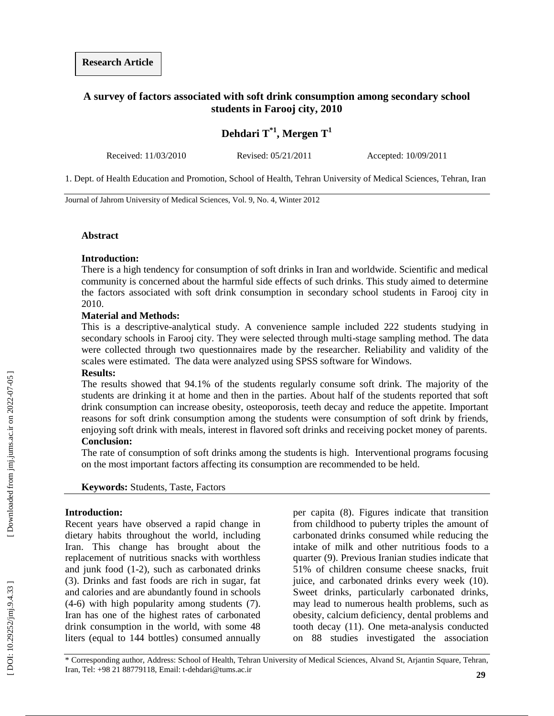### **A survey of factors associated with soft drink consumption among secondary school students in Farooj city, 2010**

# **Dehdari T\*1, Mergen T 1**

Received: 11/03/2010 Revised: 05/21/2011 Accepted: 10/09/2011

1. Dept. of Health Education and Promotion, School of Health, Tehran University of Medical Sciences, Tehran, Iran

Journal of Jahrom University of Medical Sciences, Vol. 9, No. 4, Winter 2012

#### **Abstract**

#### **Introduction :**

There is a high tendency for consumption of soft drinks in Iran and worldwide. Scientific and medical community is concerned about the harmful side effects of such drinks. This study aimed to determine the factors associated with soft drink consumption in secondary school students in Farooj city in 2010.

#### **Material and Methods :**

This is a descriptive -analytical study. A convenience sample included 222 students studying in secondary schools in Farooj city. They were selected through multi-stage sampling method. The data were collected through two questionnaires made by the researcher. Reliability and validity of the scales were estimated. The data were analyzed using SPSS software for Windows.

#### **Results :**

The results showed that 94.1% of the students regularly consume soft drink. The majority of the students are drinking it at home and then in the parties. About half of the students reported that soft drink consumption can increase obesity, osteoporosis, teeth decay and reduce the appetite. Important reasons for soft drink consumption among the students were consumption of soft drink by friends, enjoying soft drink with meals, interest in flavored soft drinks and receiving pocket money of parents.

#### **Conclusion :**

The rate of consumption of soft drinks among the students is high. Interventional programs focusing on the most important factors affecting its consumption are recommended to be held.

**Keywords :** Students, Taste, Factors

#### **Introduction:**

Recent years have observed a rapid change in dietary habits throughout the world, including Iran. This change has brought about the replacement of nutritious snacks with worthless and junk food ( 1 - 2 ), such as carbonated drinks ( 3 ). Drinks and fast foods are rich in sugar, fat and calories and are abundantly found in schools (4-6) with high popularity among students (7). Iran has one of the highest rates of carbonated drink consumption in the world, with some 48 liters (equal to 144 bottles) consumed annually

per capita ( 8 ). Figures indicate that transition from childhood to puberty triples the amount of carbonated drinks consumed while reducing the intake of milk and other nutritious foods to a quarter ( 9 ). Previous Iranian studies indicate that 51% of children consume cheese snacks, fruit juice, and carbonated drinks every week (10 ). Sweet drinks, particularly carbonated drinks, may lead to numerous health problems, such as obesity, calcium deficiency, dental problems and tooth decay (11 ). One meta -analysis conducted on 88 studies investigated the association

\* Corresponding author, Address: School of Health, Tehran University of Medical Sciences, Alvand St, Arjantin Square, Tehran, Iran, Tel: +98 21 88779118, Email: t -dehdari@tums.ac.ir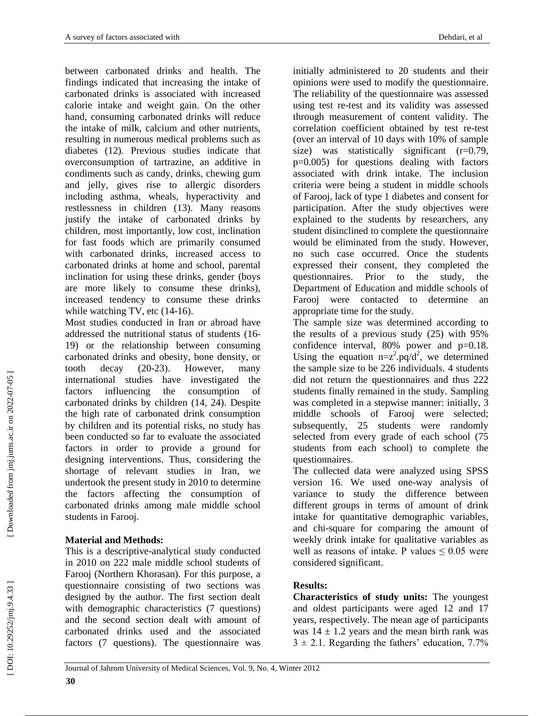between carbonated drinks and health. The findings indicated that increasing the intake of carbonated drinks is associated with increased calorie intake and weight gain. On the other hand, consuming carbonated drinks will reduce the intake of milk, calcium and other nutrients, resulting in numerous medical problems such as diabetes (12 ). Previous studies indicate that overconsumption of tartrazine, an additive in condiments such as candy, drinks, chewing gum and jelly, gives rise to allergic disorders including asthma, wheals, hyperactivity and restlessness in children (13 ). Many reasons justify the intake of carbonated drinks by children, most importantly, low cost, inclination for fast foods which are primarily consumed with carbonated drinks, increased access to carbonated drinks at home and school, parental inclination for using these drinks, gender (boys are more likely to consume these drinks), increased tendency to consume these drinks while watching TV, etc (14-16).

Most studies conducted in Iran or abroad have addressed the nutritional status of students (16 - 19 ) or the relationship between consuming carbonated drinks and obesity, bone density, or tooth decay  $(20-23)$ However, many international studies have investigated the factors influencing the consumption of carbonated drinks by children (14, 24 ). Despite the high rate of carbonated drink consumption by children and its potential risks, no study has been conducted so far to evaluate the associated factors in order to provide a ground for designing interventions. Thus, considering the shortage of relevant studies in Iran, we undertook the present study in 2010 to determine the factors affecting the consumption of carbonated drinks among male middle school students in Farooj.

# **Material and Method s :**

This is a descriptive -analytical study conducted in 2010 on 222 male middle school students of Farooj (Northern Khorasan). For this purpose, a questionnaire consisting of two sections was designed by the author. The first section dealt with demographic characteristics (7 questions) and the second section dealt with amount of carbonated drinks used and the associated factors (7 questions). The questionnaire was

initially administered to 20 students and their opinions were used to modify the questionnaire. The reliability of the questionnaire was assessed using test re -test and its validity was assessed through measurement of content validity. The correlation coefficient obtained by test re -test (over an interval of 10 days with 10% of sample size) was statistically significant (r=0.79, p=0.005) for questions dealing with factors associated with drink intake. The inclusion criteria were being a student in middle schools of Farooj, lack of type 1 diabetes and consent for participation. After the study objectives were explained to the students by researchers, any student disinclined to complete the questionnaire would be eliminated from the study. However, no such case occurred. Once the students expressed their consent, they completed the questionnaires. Prior to the study, the Department of Education and middle schools of Farooj were contacted to determine an appropriate time for the study.

The sample size was determined according to the results of a previous study (25 ) with 95% confidence interval, 80% power and p=0.18. Using the equation  $n=z^2$  pq/d<sup>2</sup>, we determined the sample size to be 226 individuals. 4 students did not return the questionnaires and thus 222 students finally remained in the study. Sampling was completed in a stepwise manner: initially, 3 middle schools of Farooj were selected; subsequently, 25 students were randomly selected from every grade of each school (75 students from each school) to complete the questionnaires.

The collected data were analyzed using SPSS version 16. We used one -way analysis of variance to study the difference between different groups in terms of amount of drink intake for quantitative demographic variables, and chi -square for comparing the amount of weekly drink intake for qualitative variables as well as reasons of intake. P values  $\leq 0.05$  were considered significant.

# **Results :**

**Characteristics of study units:** The youngest and oldest participants were aged 12 and 17 years, respectively. The mean age of participants was  $14 \pm 1.2$  years and the mean birth rank was  $3 \pm 2.1$ . Regarding the fathers' education, 7.7%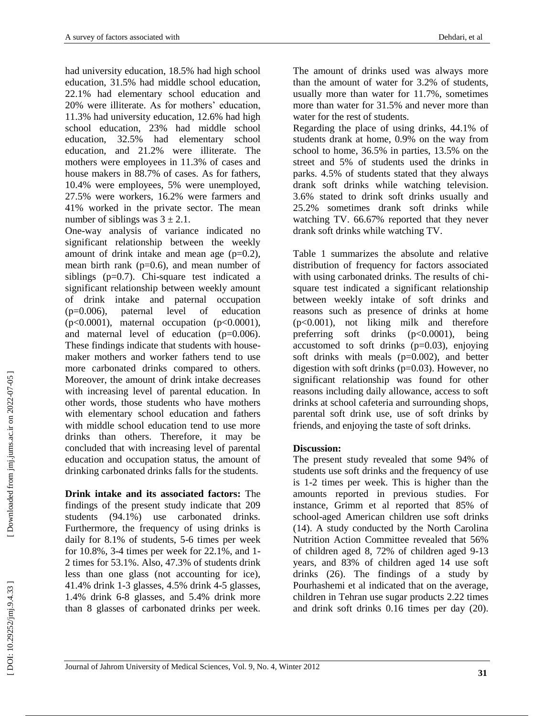had university education, 18.5% had high school education, 31.5% had middle school education, 22.1% had elementary school education and 20% were illiterate. As for mothers' education, 11.3% had university education, 12.6% had high school education, 23% had middle school education, 32.5% had elementary school education, and 21.2% were illiterate. The mothers were employees in 11.3% of cases and house makers in 88.7% of cases. As for fathers, 10.4% were employees, 5% were unemployed, 27.5% were workers, 16.2% were farmers and 41% worked in the private sector. The mean number of siblings was  $3 \pm 2.1$ .

One -way analysis of variance indicated no significant relationship between the weekly amount of drink intake and mean age  $(p=0.2)$ , mean birth rank ( $p=0.6$ ), and mean number of siblings (p=0.7). Chi-square test indicated a significant relationship between weekly amount of drink intake and paternal occupation (p=0.006), paternal level of education  $(p<0.0001)$ , maternal occupation  $(p<0.0001)$ , and maternal level of education (p=0.006). These findings indicate that students with house maker mothers and worker fathers tend to use more carbonated drinks compared to others. Moreover, the amount of drink intake decreases with increasing level of parental education. In other words, those students who have mothers with elementary school education and fathers with middle school education tend to use more drinks than others. Therefore, it may be concluded that with increasing level of parental education and occupation status, the amount of drinking carbonated drinks falls for the students.

**Drink intake and its associated factors:** The findings of the present study indicate that 209 students (94.1%) use carbonated drinks. Furthermore, the frequency of using drinks is daily for 8.1% of students, 5 -6 times per week for 10.8%, 3 -4 times per week for 22.1%, and 1 - 2 times for 53.1%. Also, 47.3% of students drink less than one glass (not accounting for ice), 41.4% drink 1 -3 glasses, 4.5% drink 4 -5 glasses, 1.4% drink 6 -8 glasses, and 5.4% drink more than 8 glasses of carbonated drinks per week.

The amount of drinks used was always more than the amount of water for 3.2% of students, usually more than water for 11.7%, sometimes more than water for 31.5% and never more than water for the rest of students.

Regarding the place of using drinks, 44.1% of students drank at home, 0.9% on the way from school to home, 36.5% in parties, 13.5% on the street and 5% of students used the drinks in parks. 4.5% of students stated that they always drank soft drinks while watching television. 3.6% stated to drink soft drinks usually and 25.2% sometimes drank soft drinks while watching TV. 66.67% reported that they never drank soft drinks while watching TV.

Table 1 summarizes the absolute and relative distribution of frequency for factors associated with using carbonated drinks. The results of chi square test indicated a significant relationship between weekly intake of soft drinks and reasons such as presence of drinks at home (p<0.001), not liking milk and therefore preferring soft drinks  $(p<0.0001)$ , being accustomed to soft drinks  $(p=0.03)$ , enjoying soft drinks with meals (p=0.002), and better digestion with soft drinks (p=0.03). However, no significant relationship was found for other reasons including daily allowance, access to soft drinks at school cafeteria and surrounding shops, parental soft drink use, use of soft drinks by friends, and enjoying the taste of soft drinks.

### **Discussion:**

The present study revealed that some 94% of students use soft drinks and the frequency of use is 1 -2 times per week. This is higher than the amounts reported in previous studies. For instance, Grimm et al reported that 85% of school -aged American children use soft drinks (14). A study conducted by the North Carolina Nutrition Action Committee revealed that 56% of children aged 8, 72% of children aged 9 -13 years, and 83% of children aged 14 use soft drinks (26). The findings of a study by Pourhashemi et al indicated that on the average, children in Tehran use sugar products 2.22 times and drink soft drinks 0.16 times per day (20).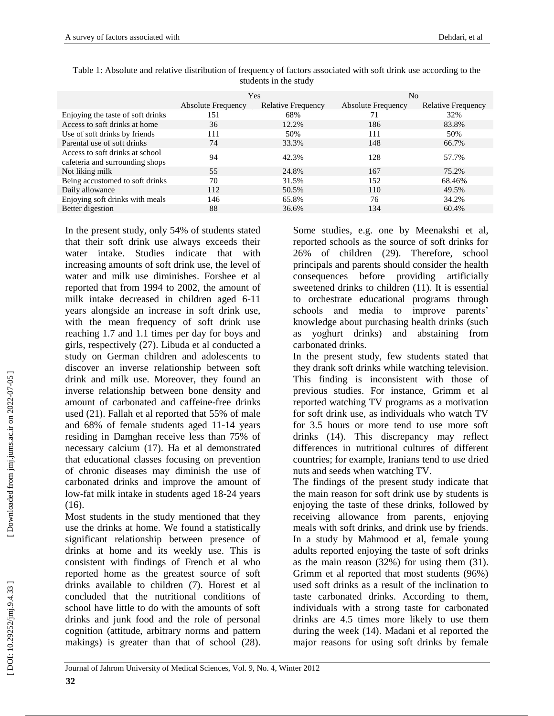|                                                                    | Yes                       |                           | N <sub>0</sub>            |                           |
|--------------------------------------------------------------------|---------------------------|---------------------------|---------------------------|---------------------------|
|                                                                    | <b>Absolute Frequency</b> | <b>Relative Frequency</b> | <b>Absolute Frequency</b> | <b>Relative Frequency</b> |
| Enjoying the taste of soft drinks                                  | 151                       | 68%                       | 71                        | 32%                       |
| Access to soft drinks at home                                      | 36                        | 12.2%                     | 186                       | 83.8%                     |
| Use of soft drinks by friends                                      | 111                       | 50%                       | 111                       | 50%                       |
| Parental use of soft drinks                                        | 74                        | 33.3%                     | 148                       | 66.7%                     |
| Access to soft drinks at school<br>cafeteria and surrounding shops | 94                        | 42.3%                     | 128                       | 57.7%                     |
| Not liking milk                                                    | 55                        | 24.8%                     | 167                       | 75.2%                     |
| Being accustomed to soft drinks                                    | 70                        | 31.5%                     | 152                       | 68.46%                    |
| Daily allowance                                                    | 112                       | 50.5%                     | 110                       | 49.5%                     |
| Enjoying soft drinks with meals                                    | 146                       | 65.8%                     | 76                        | 34.2%                     |
| Better digestion                                                   | 88                        | 36.6%                     | 134                       | 60.4%                     |

Table 1: Absolute and relative distribution of frequency of factors associated with soft drink use according to the students in the study

In the present study, only 54% of students stated that their soft drink use always exceeds their water intake. Studies indicate that with increasing amounts of soft drink use, the level of water and milk use diminishes. Forshee et al reported that from 1994 to 2002, the amount of milk intake decreased in children aged 6 -11 years alongside an increase in soft drink use, with the mean frequency of soft drink use reaching 1.7 and 1.1 times per day for boys and girls, respectively (27 ). Libuda et al conducted a study on German children and adolescents to discover an inverse relationship between soft drink and milk use. Moreover, they found an inverse relationship between bone density and amount of carbonated and caffeine -free drinks used (21 ). Fallah et al reported that 55% of male and 68% of female students aged 11 -14 years residing in Damghan receive less than 75% of necessary calcium (17 ). Ha et al demonstrated that educational classes focusing on prevention of chronic diseases may diminish the use of carbonated drinks and improve the amount of low -fat milk intake in students aged 18 -24 years (16 ).

Most students in the study mentioned that they use the drinks at home. We found a statistically significant relationship between presence of drinks at home and its weekly use. This is consistent with findings of French et al who reported home as the greatest source of soft drinks available to children ( 7 ). Horest et al concluded that the nutritional conditions of school have little to do with the amounts of soft drinks and junk food and the role of personal cognition (attitude, arbitrary norms and pattern makings) is greater than that of school  $(28)$ . Some studies, e.g. one by Meenakshi et al, reported schools as the source of soft drinks for 26% of children (29 ). Therefore, school principals and parents should consider the health consequences before providing artificially sweetened drinks to children (11 ). It is essential to orchestrate educational programs through schools and media to improve parents' knowledge about purchasing health drinks (such as yoghurt drinks) and abstaining from carbonated drinks.

In the present study, few students stated that they drank soft drinks while watching television. This finding is inconsistent with those of previous studies. For instance, Grimm et al reported watching TV programs as a motivation for soft drink use, as individuals who watch TV for 3.5 hours or more tend to use more soft drinks (14 ). This discrepancy may reflect differences in nutritional cultures of different countries; for example, Iranians tend to use dried nuts and seeds when watching TV.

The findings of the present study indicate that the main reason for soft drink use by students is enjoying the taste of these drinks, followed by receiving allowance from parents, enjoying meals with soft drinks, and drink use by friends. In a study by Mahmood et al, female young adults reported enjoying the taste of soft drinks as the main reason (32%) for using them (31 ). Grimm et al reported that most students (96%) used soft drinks as a result of the inclination to taste carbonated drinks. According to them, individuals with a strong taste for carbonated drinks are 4.5 times more likely to use them during the week (14 ). Madani et al reported the major reasons for using soft drinks by female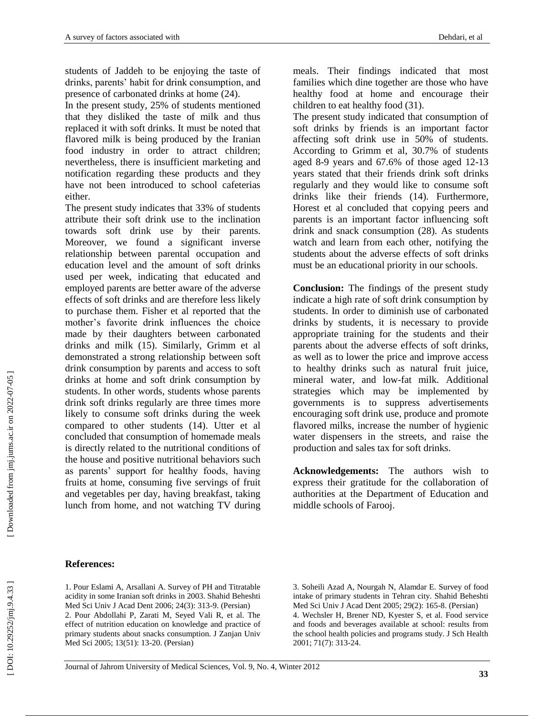students of Jaddeh to be enjoying the taste of drinks, parents' habit for drink consumption, and presence of carbonated drinks at home (24 ).

In the present study, 25% of students mentioned that they disliked the taste of milk and thus replaced it with soft drinks. It must be noted that flavored milk is being produced by the Iranian food industry in order to attract children; nevertheless, there is insufficient marketing and notification regarding these products and they have not been introduced to school cafeterias either.

The present study indicates that 33% of students attribute their soft drink use to the inclination towards soft drink use by their parents. Moreover, we found a significant inverse relationship between parental occupation and education level and the amount of soft drinks used per week, indicating that educated and employed parents are better aware of the adverse effects of soft drinks and are therefore less likely to purchase them. Fisher et al reported that the mother's favorite drink influences the choice made by their daughters between carbonated drinks and milk (15 ). Similarly, Grimm et al demonstrated a strong relationship between soft drink consumption by parents and access to soft drinks at home and soft drink consumption by students. In other words, students whose parents drink soft drinks regularly are three times more likely to consume soft drinks during the week compared to other students (14 ). Utter et al concluded that consumption of homemade meals is directly related to the nutritional conditions of the house and positive nutritional behaviors such as parents' support for healthy foods, having fruits at home, consuming five servings of fruit and vegetables per day, having breakfast, taking lunch from home, and not watching TV during

meals. Their findings indicated that most families which dine together are those who have healthy food at home and encourage their children to eat healthy food (31).

The present study indicated that consumption of soft drinks by friends is an important factor affecting soft drink use in 50% of students. According to Grimm et al, 30.7% of students aged 8 -9 years and 67.6% of those aged 12 -13 years stated that their friends drink soft drinks regularly and they would like to consume soft drinks like their friends (14 ). Furthermore, Horest et al concluded that copying peers and parents is an important factor influencing soft drink and snack consumption (28 ). As students watch and learn from each other, notifying the students about the adverse effects of soft drinks must be an educational priority in our schools.

**Conclusion:** The findings of the present study indicate a high rate of soft drink consumption by students. In order to diminish use of carbonated drinks by students, it is necessary to provide appropriate training for the students and their parents about the adverse effects of soft drinks, as well as to lower the price and improve access to healthy drinks such as natural fruit juice, mineral water, and low -fat milk. Additional strategies which may be implemented by governments is to suppress advertisements encouraging soft drink use, produce and promote flavored milks, increase the number of hygienic water dispensers in the streets, and raise the production and sales tax for soft drinks.

**Acknowledgement s:** The authors wish to express their gratitude for the collaboration of authorities at the Department of Education and middle schools of Farooj.

#### **References:**

1. Pour Eslami A, Arsallani A. Survey of PH and Titratable acidity in some Iranian soft drinks in 2003. Shahid Beheshti Med Sci Univ J Acad Dent 2006; 24(3): 313 -9. (Persian) 2. Pour Abdollahi P, Zarati M, Seyed Vali R, et al. The effect of nutrition education on knowledge and practice of primary students about snacks consumption. J Zanjan Univ Med Sci 2005; 13(51): 13 -20. (Persian)

3. Soheili Azad A, Nourgah N, Alamdar E. Survey of food intake of primary students in Tehran city. Shahid Beheshti Med Sci Univ J Acad Dent 2005; 29(2): 165 -8. (Persian) 4. Wechsler H, Brener ND, Kyester S, et al. Food service and foods and beverages available at school: results from the school health policies and programs study. J Sch Health 2001; 71(7): 313 -24.